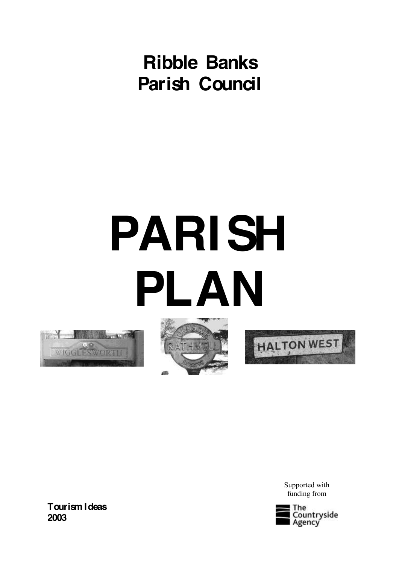# **Ribble Banks Parish Council**

# **PARISH PLAN**







Supported with funding from



**Tourism Ideas 2003**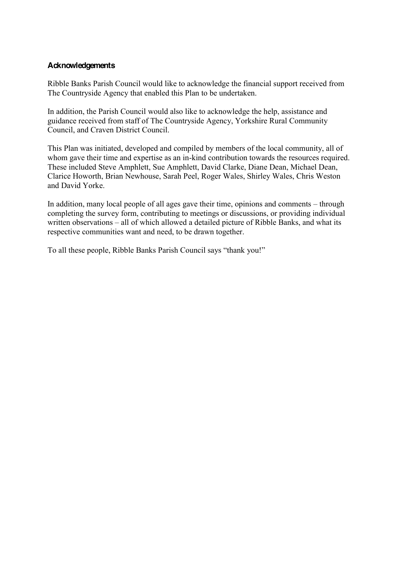# **Acknowledgements**

Ribble Banks Parish Council would like to acknowledge the financial support received from The Countryside Agency that enabled this Plan to be undertaken.

In addition, the Parish Council would also like to acknowledge the help, assistance and guidance received from staff of The Countryside Agency, Yorkshire Rural Community Council, and Craven District Council.

This Plan was initiated, developed and compiled by members of the local community, all of whom gave their time and expertise as an in-kind contribution towards the resources required. These included Steve Amphlett, Sue Amphlett, David Clarke, Diane Dean, Michael Dean, Clarice Howorth, Brian Newhouse, Sarah Peel, Roger Wales, Shirley Wales, Chris Weston and David Yorke.

In addition, many local people of all ages gave their time, opinions and comments  $-$  through completing the survey form, contributing to meetings or discussions, or providing individual written observations – all of which allowed a detailed picture of Ribble Banks, and what its respective communities want and need, to be drawn together.

To all these people, Ribble Banks Parish Council says "thank you!"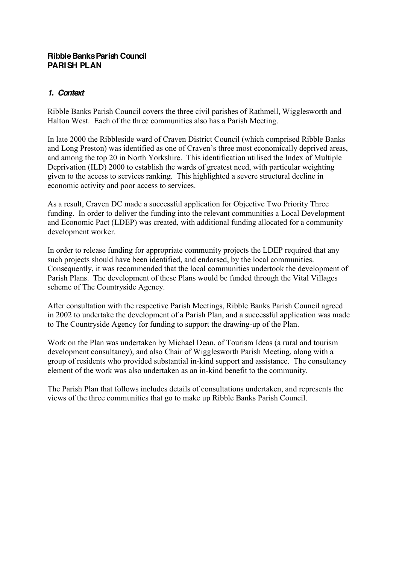#### **Ribble Banks Parish Council PARISH PLAN**

# *1. Context*

Ribble Banks Parish Council covers the three civil parishes of Rathmell, Wigglesworth and Halton West. Each of the three communities also has a Parish Meeting.

In late 2000 the Ribbleside ward of Craven District Council (which comprised Ribble Banks and Long Preston) was identified as one of Craven's three most economically deprived areas. and among the top 20 in North Yorkshire. This identification utilised the Index of Multiple Deprivation (ILD) 2000 to establish the wards of greatest need, with particular weighting given to the access to services ranking. This highlighted a severe structural decline in economic activity and poor access to services.

As a result, Craven DC made a successful application for Objective Two Priority Three funding. In order to deliver the funding into the relevant communities a Local Development and Economic Pact (LDEP) was created, with additional funding allocated for a community development worker.

In order to release funding for appropriate community projects the LDEP required that any such projects should have been identified, and endorsed, by the local communities. Consequently, it was recommended that the local communities undertook the development of Parish Plans. The development of these Plans would be funded through the Vital Villages scheme of The Countryside Agency.

After consultation with the respective Parish Meetings, Ribble Banks Parish Council agreed in 2002 to undertake the development of a Parish Plan, and a successful application was made to The Countryside Agency for funding to support the drawing-up of the Plan.

Work on the Plan was undertaken by Michael Dean, of Tourism Ideas (a rural and tourism development consultancy), and also Chair of Wigglesworth Parish Meeting, along with a group of residents who provided substantial in-kind support and assistance. The consultancy element of the work was also undertaken as an in-kind benefit to the community.

The Parish Plan that follows includes details of consultations undertaken, and represents the views of the three communities that go to make up Ribble Banks Parish Council.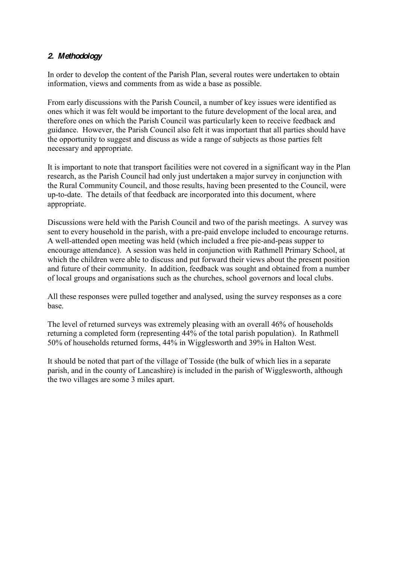# *2. Methodology*

In order to develop the content of the Parish Plan, several routes were undertaken to obtain information, views and comments from as wide a base as possible.

From early discussions with the Parish Council, a number of key issues were identified as ones which it was felt would be important to the future development of the local area, and therefore ones on which the Parish Council was particularly keen to receive feedback and guidance. However, the Parish Council also felt it was important that all parties should have the opportunity to suggest and discuss as wide a range of subjects as those parties felt necessary and appropriate.

It is important to note that transport facilities were not covered in a significant way in the Plan research, as the Parish Council had only just undertaken a major survey in conjunction with the Rural Community Council, and those results, having been presented to the Council, were up-to-date. The details of that feedback are incorporated into this document, where appropriate.

Discussions were held with the Parish Council and two of the parish meetings. A survey was sent to every household in the parish, with a pre-paid envelope included to encourage returns. A well-attended open meeting was held (which included a free pie-and-peas supper to encourage attendance). A session was held in conjunction with Rathmell Primary School, at which the children were able to discuss and put forward their views about the present position and future of their community. In addition, feedback was sought and obtained from a number of local groups and organisations such as the churches, school governors and local clubs.

All these responses were pulled together and analysed, using the survey responses as a core base.

The level of returned surveys was extremely pleasing with an overall 46% of households returning a completed form (representing 44% of the total parish population). In Rathmell 50% of households returned forms, 44% in Wigglesworth and 39% in Halton West.

It should be noted that part of the village of Tosside (the bulk of which lies in a separate parish, and in the county of Lancashire) is included in the parish of Wigglesworth, although the two villages are some 3 miles apart.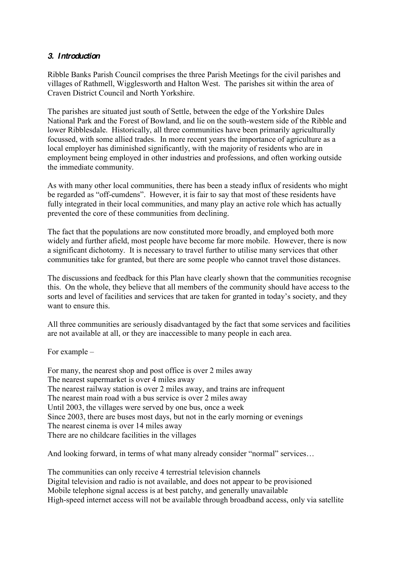# *3. Introduction*

Ribble Banks Parish Council comprises the three Parish Meetings for the civil parishes and villages of Rathmell, Wigglesworth and Halton West. The parishes sit within the area of Craven District Council and North Yorkshire.

The parishes are situated just south of Settle, between the edge of the Yorkshire Dales National Park and the Forest of Bowland, and lie on the south-western side of the Ribble and lower Ribblesdale. Historically, all three communities have been primarily agriculturally focussed, with some allied trades. In more recent years the importance of agriculture as a local employer has diminished significantly, with the majority of residents who are in employment being employed in other industries and professions, and often working outside the immediate community.

As with many other local communities, there has been a steady influx of residents who might be regarded as "off-cumdens". However, it is fair to say that most of these residents have fully integrated in their local communities, and many play an active role which has actually prevented the core of these communities from declining.

The fact that the populations are now constituted more broadly, and employed both more widely and further afield, most people have become far more mobile. However, there is now a significant dichotomy. It is necessary to travel further to utilise many services that other communities take for granted, but there are some people who cannot travel those distances.

The discussions and feedback for this Plan have clearly shown that the communities recognise this. On the whole, they believe that all members of the community should have access to the sorts and level of facilities and services that are taken for granted in today's society, and they want to ensure this.

All three communities are seriously disadvantaged by the fact that some services and facilities are not available at all, or they are inaccessible to many people in each area.

For example  $-$ 

For many, the nearest shop and post office is over 2 miles away The nearest supermarket is over 4 miles away The nearest railway station is over 2 miles away, and trains are infrequent The nearest main road with a bus service is over 2 miles away Until 2003, the villages were served by one bus, once a week Since 2003, there are buses most days, but not in the early morning or evenings The nearest cinema is over 14 miles away There are no childcare facilities in the villages

And looking forward, in terms of what many already consider "normal" services...

The communities can only receive 4 terrestrial television channels Digital television and radio is not available, and does not appear to be provisioned Mobile telephone signal access is at best patchy, and generally unavailable High-speed internet access will not be available through broadband access, only via satellite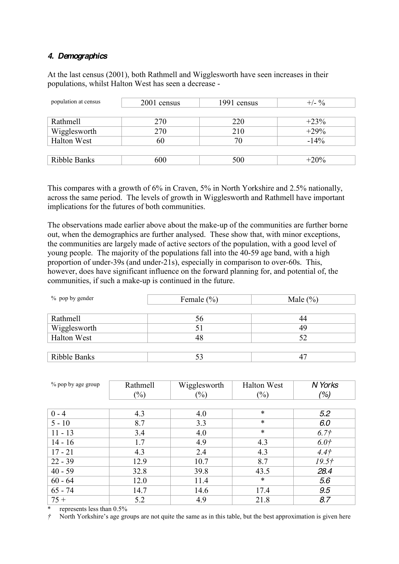#### *4. Demographics*

At the last census (2001), both Rathmell and Wigglesworth have seen increases in their populations, whilst Halton West has seen a decrease -

| population at census | 2001 census | 1991 census | $+/- 9/6$ |
|----------------------|-------------|-------------|-----------|
|                      |             |             |           |
| <b>Rathmell</b>      | 270         | 220         | $+23%$    |
| Wigglesworth         | 270         | 210         | $+29%$    |
| <b>Halton West</b>   | 60          | 70          | $-14%$    |
|                      |             |             |           |
| Ribble Banks         | 600         | 500         | $+20\%$   |

This compares with a growth of 6% in Craven, 5% in North Yorkshire and 2.5% nationally, across the same period. The levels of growth in Wigglesworth and Rathmell have important implications for the futures of both communities.

The observations made earlier above about the make-up of the communities are further borne out, when the demographics are further analysed. These show that, with minor exceptions, the communities are largely made of active sectors of the population, with a good level of young people. The majority of the populations fall into the 40-59 age band, with a high proportion of under-39s (and under-21s), especially in comparison to over-60s. This, however, does have significant influence on the forward planning for, and potential of, the communities, if such a make-up is continued in the future.

| $\%$ pop by gender | Female $(\% )$ | Male $(\% )$ |  |
|--------------------|----------------|--------------|--|
|                    |                |              |  |
| Rathmell           | 56             | 44           |  |
| Wigglesworth       | ЭI             | 49           |  |
| <b>Halton West</b> |                | 52           |  |
|                    |                |              |  |
| Ribble Banks       |                |              |  |

| % pop by age group | Rathmell | Wigglesworth | <b>Halton West</b> | N Yorks           |
|--------------------|----------|--------------|--------------------|-------------------|
|                    | $(\%)$   | $(\%)$       | $(\%)$             | (%)               |
|                    |          |              |                    |                   |
| $0 - 4$            | 4.3      | 4.0          | $\ast$             | 5.2               |
| $5 - 10$           | 8.7      | 3.3          | $\ast$             | 6.0               |
| $11 - 13$          | 3.4      | 4.0          | $\ast$             | 6.7 <sup>†</sup>  |
| $14 - 16$          | 1.7      | 4.9          | 4.3                | 6.0 <sub>t</sub>  |
| $17 - 21$          | 4.3      | 2.4          | 4.3                | 4.4 <sub>†</sub>  |
| $22 - 39$          | 12.9     | 10.7         | 8.7                | 19.5 <sup>†</sup> |
| $40 - 59$          | 32.8     | 39.8         | 43.5               | 28.4              |
| $60 - 64$          | 12.0     | 11.4         | $\ast$             | 5.6               |
| $65 - 74$          | 14.7     | 14.6         | 17.4               | 9.5               |
| $75 +$             | 5.2      | 4.9          | 21.8               | 8.7               |

represents less than  $0.5\%$ 

 $\dot{\tau}$  North Yorkshire's age groups are not quite the same as in this table, but the best approximation is given here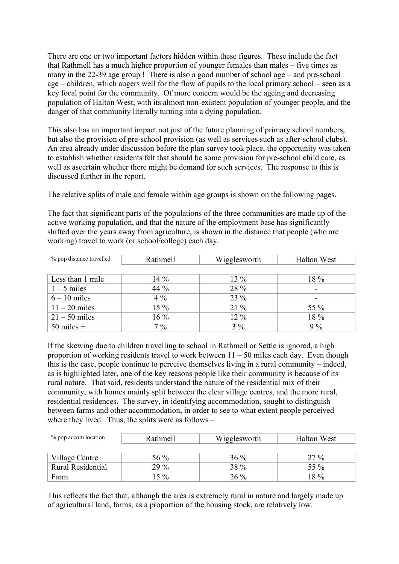There are one or two important factors hidden within these figures. These include the fact that Rathmell has a much higher proportion of younger females than males  $-$  five times as many in the  $22-39$  age group ! There is also a good number of school age  $-$  and pre-school age  $-$  children, which augers well for the flow of pupils to the local primary school  $-$  seen as a key focal point for the community. Of more concern would be the ageing and decreasing population of Halton West, with its almost non-existent population of younger people, and the danger of that community literally turning into a dying population.

This also has an important impact not just of the future planning of primary school numbers, but also the provision of pre-school provision (as well as services such as after-school clubs). An area already under discussion before the plan survey took place, the opportunity was taken to establish whether residents felt that should be some provision for pre-school child care, as well as ascertain whether there might be demand for such services. The response to this is discussed further in the report.

The relative splits of male and female within age groups is shown on the following pages.

The fact that significant parts of the populations of the three communities are made up of the active working population, and that the nature of the employment base has significantly shifted over the years away from agriculture, is shown in the distance that people (who are working) travel to work (or school/college) each day.

| % pop distance travelled | Rathmell | Wigglesworth | <b>Halton West</b> |
|--------------------------|----------|--------------|--------------------|
|                          |          |              |                    |
| Less than 1 mile         | $14\%$   | $13\%$       | 18 %               |
| $1 - 5$ miles            | 44 %     | 28 %         |                    |
| $6 - 10$ miles           | $4\%$    | 23 %         |                    |
| $11 - 20$ miles          | 15 %     | $21\%$       | 55 %               |
| $21 - 50$ miles          | $16\%$   | 12 %         | 18 %               |
| $50$ miles $+$           | $7\%$    | $3\%$        | $9\%$              |

If the skewing due to children travelling to school in Rathmell or Settle is ignored, a high proportion of working residents travel to work between  $11 - 50$  miles each day. Even though this is the case, people continue to perceive themselves living in a rural community  $-$  indeed, as is highlighted later, one of the key reasons people like their community is because of its rural nature. That said, residents understand the nature of the residential mix of their community, with homes mainly split between the clear village centres, and the more rural, residential residences. The survey, in identifying accommodation, sought to distinguish between farms and other accommodation, in order to see to what extent people perceived where they lived. Thus, the splits were as follows  $-$ 

| % pop accom location     | Rathmell | Wigglesworth | <b>Halton West</b> |
|--------------------------|----------|--------------|--------------------|
|                          |          |              |                    |
| Village Centre           | 56 $%$   | $36\%$       | $27\%$             |
| <b>Rural Residential</b> | $29\%$   | 38 %         | 55 %               |
| Farm                     | $15\%$   | $26\%$       | 18 %               |

This reflects the fact that, although the area is extremely rural in nature and largely made up of agricultural land, farms, as a proportion of the housing stock, are relatively low.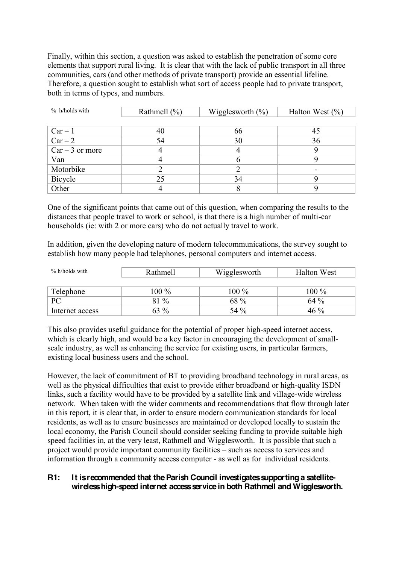Finally, within this section, a question was asked to establish the penetration of some core elements that support rural living. It is clear that with the lack of public transport in all three communities, cars (and other methods of private transport) provide an essential lifeline. Therefore, a question sought to establish what sort of access people had to private transport, both in terms of types, and numbers.

| $%$ h/holds with   | Rathmell $(\% )$ | Wigglesworth $(\% )$ | Halton West $(\% )$ |
|--------------------|------------------|----------------------|---------------------|
|                    |                  |                      |                     |
| $Car - 1$          | 40               | 66                   | 45                  |
| $\overline{Car-2}$ | 54               | 30                   | 36                  |
| $Car - 3$ or more  |                  |                      |                     |
| Van                |                  | n                    |                     |
| Motorbike          |                  |                      |                     |
| Bicycle            | 25               | 34                   |                     |
| Other              |                  |                      |                     |

One of the significant points that came out of this question, when comparing the results to the distances that people travel to work or school, is that there is a high number of multi-car households (ie: with 2 or more cars) who do not actually travel to work.

In addition, given the developing nature of modern telecommunications, the survey sought to establish how many people had telephones, personal computers and internet access.

| % h/holds with  | Rathmell | Wigglesworth | <b>Halton West</b> |
|-----------------|----------|--------------|--------------------|
|                 |          |              |                    |
| Telephone       | 100 %    | 100 %        | $100\%$            |
| <b>PC</b>       | 81 %     | 68 %         | $64\%$             |
| Internet access | $63\%$   | 54 %         | 46 %               |

This also provides useful guidance for the potential of proper high-speed internet access, which is clearly high, and would be a key factor in encouraging the development of smallscale industry, as well as enhancing the service for existing users, in particular farmers, existing local business users and the school.

However, the lack of commitment of BT to providing broadband technology in rural areas, as well as the physical difficulties that exist to provide either broadband or high-quality ISDN links, such a facility would have to be provided by a satellite link and village-wide wireless network. When taken with the wider comments and recommendations that flow through later in this report, it is clear that, in order to ensure modern communication standards for local residents, as well as to ensure businesses are maintained or developed locally to sustain the local economy, the Parish Council should consider seeking funding to provide suitable high speed facilities in, at the very least, Rathmell and Wigglesworth. It is possible that such a project would provide important community facilities – such as access to services and information through a community access computer - as well as for individual residents.

# **R1: It is recommended that the Parish Council investigates supporting a satellitewireless high-speed internet access service in both Rathmell and Wigglesworth.**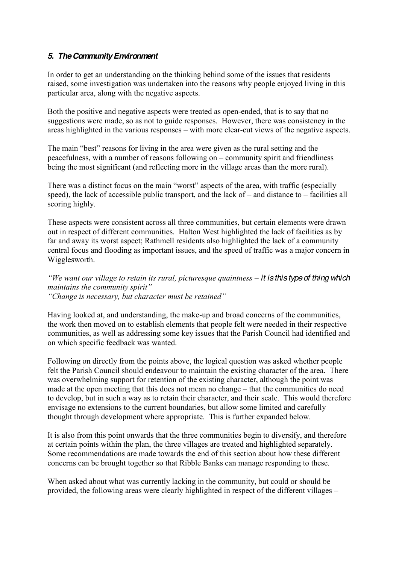# *5. The Community Environment*

In order to get an understanding on the thinking behind some of the issues that residents raised, some investigation was undertaken into the reasons why people enjoyed living in this particular area, along with the negative aspects.

Both the positive and negative aspects were treated as open-ended, that is to say that no suggestions were made, so as not to guide responses. However, there was consistency in the areas highlighted in the various responses – with more clear-cut views of the negative aspects.

The main "best" reasons for living in the area were given as the rural setting and the peacefulness, with a number of reasons following on  $-$  community spirit and friendliness being the most significant (and reflecting more in the village areas than the more rural).

There was a distinct focus on the main "worst" aspects of the area, with traffic (especially speed), the lack of accessible public transport, and the lack of  $-$  and distance to  $-$  facilities all scoring highly.

These aspects were consistent across all three communities, but certain elements were drawn out in respect of different communities. Halton West highlighted the lack of facilities as by far and away its worst aspect; Rathmell residents also highlighted the lack of a community central focus and flooding as important issues, and the speed of traffic was a major concern in Wigglesworth.

*ii* We want our village to retain its rural, picturesque quaintness – it is this type of thing which *iii Phalings the community spirit*" *"Change is necessary, but character must be retained"* 

Having looked at, and understanding, the make-up and broad concerns of the communities, the work then moved on to establish elements that people felt were needed in their respective communities, as well as addressing some key issues that the Parish Council had identified and on which specific feedback was wanted.

Following on directly from the points above, the logical question was asked whether people felt the Parish Council should endeavour to maintain the existing character of the area. There was overwhelming support for retention of the existing character, although the point was made at the open meeting that this does not mean no change – that the communities do need to develop, but in such a way as to retain their character, and their scale. This would therefore envisage no extensions to the current boundaries, but allow some limited and carefully thought through development where appropriate. This is further expanded below.

It is also from this point onwards that the three communities begin to diversify, and therefore at certain points within the plan, the three villages are treated and highlighted separately. Some recommendations are made towards the end of this section about how these different concerns can be brought together so that Ribble Banks can manage responding to these.

When asked about what was currently lacking in the community, but could or should be provided, the following areas were clearly highlighted in respect of the different villages  $-$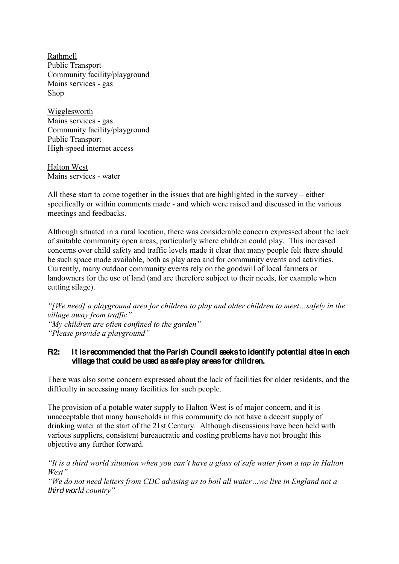Rathmell Public Transport Community facility/playground Mains services - gas Shop

Wigglesworth Mains services - gas Community facility/playground Public Transport High-speed internet access

Halton West Mains services - water

All these start to come together in the issues that are highlighted in the survey  $-\text{either}$ specifically or within comments made - and which were raised and discussed in the various meetings and feedbacks.

Although situated in a rural location, there was considerable concern expressed about the lack of suitable community open areas, particularly where children could play. This increased concerns over child safety and traffic levels made it clear that many people felt there should be such space made available, both as play area and for community events and activities. Currently, many outdoor community events rely on the goodwill of local farmers or landowners for the use of land (and are therefore subject to their needs, for example when cutting silage).

*i* We need a play ground area for children to play and older children to meet...safely in the *Village away from traffic*" *"My children are often confined to the garden" "Please provide a playground"* 

#### **R2: It is recommended that the Parish Council seeks to identify potential sites in each village that could be used as safe play areas for children.**

There was also some concern expressed about the lack of facilities for older residents, and the difficulty in accessing many facilities for such people.

The provision of a potable water supply to Halton West is of major concern, and it is unacceptable that many households in this community do not have a decent supply of drinking water at the start of the 21st Century. Although discussions have been held with various suppliers, consistent bureaucratic and costing problems have not brought this objective any further forward.

*iIt is a third world situation when you can't have a glass of safe water from a tap in Halton*  $West'$ 

*We do not need letters from CDC advising us to boil all water...we live in England not a*" *third world country*"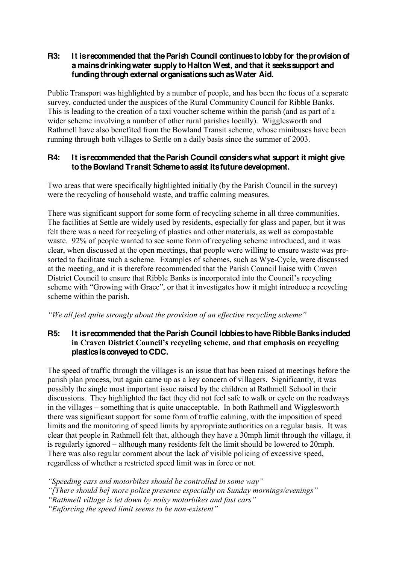#### **R3: It is recommended that the Parish Council continues to lobby for the provision of a mains drinking water supply to Halton West, and that it seeks support and funding through external organisations such as Water Aid.**

Public Transport was highlighted by a number of people, and has been the focus of a separate survey, conducted under the auspices of the Rural Community Council for Ribble Banks. This is leading to the creation of a taxi voucher scheme within the parish (and as part of a wider scheme involving a number of other rural parishes locally). Wigglesworth and Rathmell have also benefited from the Bowland Transit scheme, whose minibuses have been running through both villages to Settle on a daily basis since the summer of 2003.

# **R4: It is recommended that the Parish Council considers what support it might give to the Bowland Transit Scheme to assist its future development.**

Two areas that were specifically highlighted initially (by the Parish Council in the survey) were the recycling of household waste, and traffic calming measures.

There was significant support for some form of recycling scheme in all three communities. The facilities at Settle are widely used by residents, especially for glass and paper, but it was felt there was a need for recycling of plastics and other materials, as well as compostable waste. 92% of people wanted to see some form of recycling scheme introduced, and it was clear, when discussed at the open meetings, that people were willing to ensure waste was presorted to facilitate such a scheme. Examples of schemes, such as Wye-Cycle, were discussed at the meeting, and it is therefore recommended that the Parish Council liaise with Craven District Council to ensure that Ribble Banks is incorporated into the Council's recycling scheme with "Growing with Grace", or that it investigates how it might introduce a recycling scheme within the parish.

*We all feel quite strongly about the provision of an effective recycling scheme*"

# **R5: It is recommended that the Parish Council lobbies to have Ribble Banks included**  in Craven District Council's recycling scheme, and that emphasis on recycling **plastics is conveyed to CDC.**

The speed of traffic through the villages is an issue that has been raised at meetings before the parish plan process, but again came up as a key concern of villagers. Significantly, it was possibly the single most important issue raised by the children at Rathmell School in their discussions. They highlighted the fact they did not feel safe to walk or cycle on the roadways in the villages – something that is quite unacceptable. In both Rathmell and Wigglesworth there was significant support for some form of traffic calming, with the imposition of speed limits and the monitoring of speed limits by appropriate authorities on a regular basis. It was clear that people in Rathmell felt that, although they have a 30mph limit through the village, it is regularly ignored – although many residents felt the limit should be lowered to 20mph. There was also regular comment about the lack of visible policing of excessive speed, regardless of whether a restricted speed limit was in force or not.

"Speeding cars and motorbikes should be controlled in some way"

"[There should be] more police presence especially on Sunday mornings/evenings"

"Rathmell village is let down by noisy motorbikes and fast cars"

*<sup>"</sup>Enforcing the speed limit seems to be non-existent"*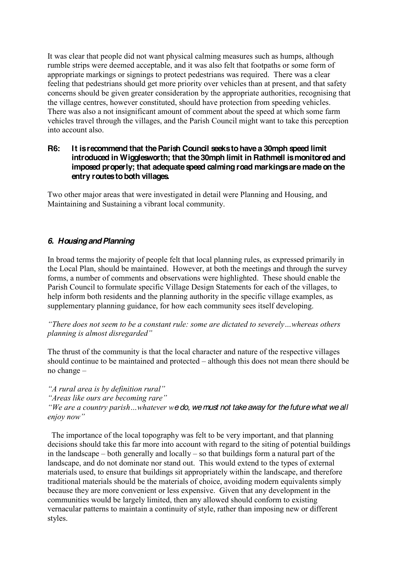It was clear that people did not want physical calming measures such as humps, although rumble strips were deemed acceptable, and it was also felt that footpaths or some form of appropriate markings or signings to protect pedestrians was required. There was a clear feeling that pedestrians should get more priority over vehicles than at present, and that safety concerns should be given greater consideration by the appropriate authorities, recognising that the village centres, however constituted, should have protection from speeding vehicles. There was also a not insignificant amount of comment about the speed at which some farm vehicles travel through the villages, and the Parish Council might want to take this perception into account also.

#### **R6: It is recommend that the Parish Council seeks to have a 30mph speed limit introduced in Wigglesworth; that the 30mph limit in Rathmell is monitored and imposed properly; that adequate speed calming road markings are made on the entry routes to both villages.**

Two other major areas that were investigated in detail were Planning and Housing, and Maintaining and Sustaining a vibrant local community.

# *6. Housing and Planning*

In broad terms the majority of people felt that local planning rules, as expressed primarily in the Local Plan, should be maintained. However, at both the meetings and through the survey forms, a number of comments and observations were highlighted. These should enable the Parish Council to formulate specific Village Design Statements for each of the villages, to help inform both residents and the planning authority in the specific village examples, as supplementary planning guidance, for how each community sees itself developing.

*<sup>a</sup>There does not seem to be a constant rule: some are dictated to severely...whereas others planning is almost disregarded*"

The thrust of the community is that the local character and nature of the respective villages should continue to be maintained and protected  $-$  although this does not mean there should be no change  $-$ 

*A* rural area is by definition rural"

*Areas like ours are becoming rare*"

*i*We are a country parish ... whatever w**e do, we must not take away for the future what we all** *enjoy now*"

 The importance of the local topography was felt to be very important, and that planning decisions should take this far more into account with regard to the siting of potential buildings in the landscape  $-$  both generally and locally  $-$  so that buildings form a natural part of the landscape, and do not dominate nor stand out. This would extend to the types of external materials used, to ensure that buildings sit appropriately within the landscape, and therefore traditional materials should be the materials of choice, avoiding modern equivalents simply because they are more convenient or less expensive. Given that any development in the communities would be largely limited, then any allowed should conform to existing vernacular patterns to maintain a continuity of style, rather than imposing new or different styles.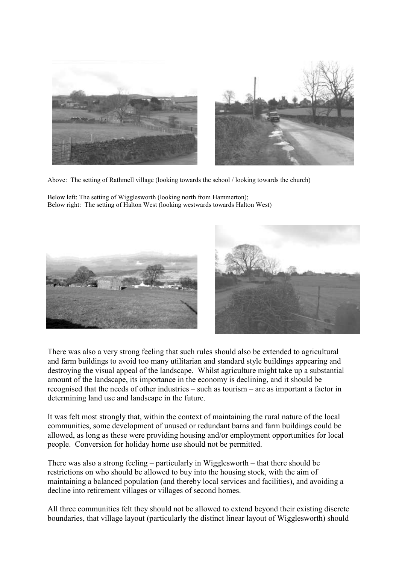

Above: The setting of Rathmell village (looking towards the school / looking towards the church)

Below left: The setting of Wigglesworth (looking north from Hammerton); Below right: The setting of Halton West (looking westwards towards Halton West)





There was also a very strong feeling that such rules should also be extended to agricultural and farm buildings to avoid too many utilitarian and standard style buildings appearing and destroying the visual appeal of the landscape. Whilst agriculture might take up a substantial amount of the landscape, its importance in the economy is declining, and it should be recognised that the needs of other industries  $-$  such as tourism  $-$  are as important a factor in determining land use and landscape in the future.

It was felt most strongly that, within the context of maintaining the rural nature of the local communities, some development of unused or redundant barns and farm buildings could be allowed, as long as these were providing housing and/or employment opportunities for local people. Conversion for holiday home use should not be permitted.

There was also a strong feeling  $-\text{particularly in Wigglesworth} - \text{that there should be}$ restrictions on who should be allowed to buy into the housing stock, with the aim of maintaining a balanced population (and thereby local services and facilities), and avoiding a decline into retirement villages or villages of second homes.

All three communities felt they should not be allowed to extend beyond their existing discrete boundaries, that village layout (particularly the distinct linear layout of Wigglesworth) should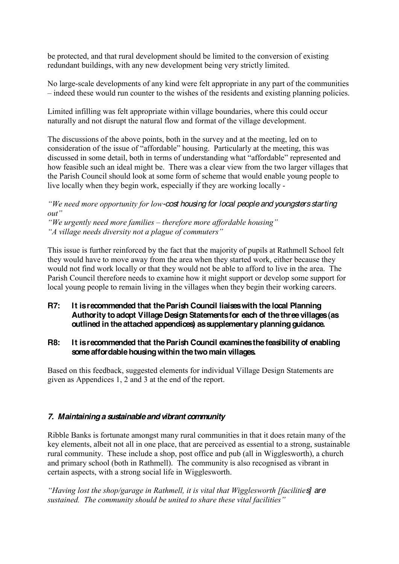be protected, and that rural development should be limited to the conversion of existing redundant buildings, with any new development being very strictly limited.

No large-scale developments of any kind were felt appropriate in any part of the communities  $-$  indeed these would run counter to the wishes of the residents and existing planning policies.

Limited infilling was felt appropriate within village boundaries, where this could occur naturally and not disrupt the natural flow and format of the village development.

The discussions of the above points, both in the survey and at the meeting, led on to consideration of the issue of "affordable" housing. Particularly at the meeting, this was discussed in some detail, both in terms of understanding what "affordable" represented and how feasible such an ideal might be. There was a clear view from the two larger villages that the Parish Council should look at some form of scheme that would enable young people to live locally when they begin work, especially if they are working locally -

*We need more opportunity for low-cost housing for local people and youngsters starting*  $\omega$ *nut*"

*We urgently need more families – therefore more affordable housing*" "*A* village needs diversity not a plague of commuters"

This issue is further reinforced by the fact that the majority of pupils at Rathmell School felt they would have to move away from the area when they started work, either because they would not find work locally or that they would not be able to afford to live in the area. The Parish Council therefore needs to examine how it might support or develop some support for local young people to remain living in the villages when they begin their working careers.

# **R7: It is recommended that the Parish Council liaises with the local Planning Authority to adopt Village Design Statements for each of the three villages (as outlined in the attached appendices) as supplementary planning guidance.**

#### **R8: It is recommended that the Parish Council examines the feasibility of enabling someaffordable housing within the two main villages.**

Based on this feedback, suggested elements for individual Village Design Statements are given as Appendices 1, 2 and 3 at the end of the report.

# *7. Maintaining a sustainable and vibrant community*

Ribble Banks is fortunate amongst many rural communities in that it does retain many of the key elements, albeit not all in one place, that are perceived as essential to a strong, sustainable rural community. These include a shop, post office and pub (all in Wigglesworth), a church and primary school (both in Rathmell). The community is also recognised as vibrant in certain aspects, with a strong social life in Wigglesworth.

*Having lost the shop/garage in Rathmell, it is vital that Wigglesworth [facilities] are induities]* are *Sustained. The community should be united to share these vital facilities*"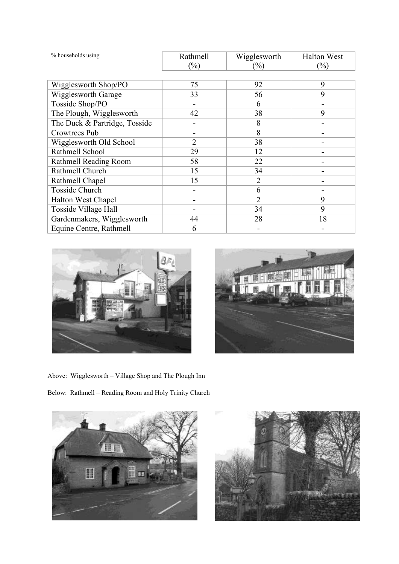| % households using            | Rathmell | Wigglesworth   | <b>Halton West</b> |
|-------------------------------|----------|----------------|--------------------|
|                               | $(\%)$   | $(\%)$         | $(\%)$             |
|                               |          |                |                    |
| Wigglesworth Shop/PO          | 75       | 92             | 9                  |
| Wigglesworth Garage           | 33       | 56             | 9                  |
| Tosside Shop/PO               |          | 6              |                    |
| The Plough, Wigglesworth      | 42       | 38             | 9                  |
| The Duck & Partridge, Tosside |          | 8              |                    |
| Crowtrees Pub                 |          | 8              |                    |
| Wigglesworth Old School       | 2        | 38             |                    |
| Rathmell School               | 29       | 12             |                    |
| Rathmell Reading Room         | 58       | 22             |                    |
| Rathmell Church               | 15       | 34             |                    |
| Rathmell Chapel               | 15       | $\overline{2}$ |                    |
| <b>Tosside Church</b>         |          | 6              |                    |
| Halton West Chapel            |          | $\overline{2}$ | 9                  |
| Tosside Village Hall          |          | 34             | 9                  |
| Gardenmakers, Wigglesworth    | 44       | 28             | 18                 |
| Equine Centre, Rathmell       | 6        |                |                    |





Above: Wigglesworth - Village Shop and The Plough Inn

Below: Rathmell - Reading Room and Holy Trinity Church



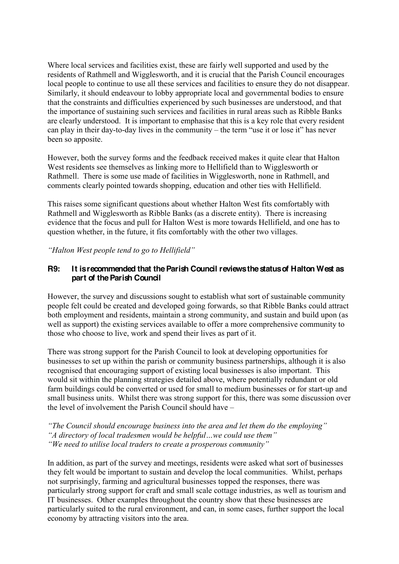Where local services and facilities exist, these are fairly well supported and used by the residents of Rathmell and Wigglesworth, and it is crucial that the Parish Council encourages local people to continue to use all these services and facilities to ensure they do not disappear. Similarly, it should endeavour to lobby appropriate local and governmental bodies to ensure that the constraints and difficulties experienced by such businesses are understood, and that the importance of sustaining such services and facilities in rural areas such as Ribble Banks are clearly understood. It is important to emphasise that this is a key role that every resident can play in their day-to-day lives in the community  $-$  the term "use it or lose it" has never been so apposite.

However, both the survey forms and the feedback received makes it quite clear that Halton West residents see themselves as linking more to Hellifield than to Wigglesworth or Rathmell. There is some use made of facilities in Wigglesworth, none in Rathmell, and comments clearly pointed towards shopping, education and other ties with Hellifield.

This raises some significant questions about whether Halton West fits comfortably with Rathmell and Wigglesworth as Ribble Banks (as a discrete entity). There is increasing evidence that the focus and pull for Halton West is more towards Hellifield, and one has to question whether, in the future, it fits comfortably with the other two villages.

*Halton West people tend to go to Hellifield*"

#### **R9: It is recommended that the Parish Council reviews the status of Halton West as part of the Parish Council**

However, the survey and discussions sought to establish what sort of sustainable community people felt could be created and developed going forwards, so that Ribble Banks could attract both employment and residents, maintain a strong community, and sustain and build upon (as well as support) the existing services available to offer a more comprehensive community to those who choose to live, work and spend their lives as part of it.

There was strong support for the Parish Council to look at developing opportunities for businesses to set up within the parish or community business partnerships, although it is also recognised that encouraging support of existing local businesses is also important. This would sit within the planning strategies detailed above, where potentially redundant or old farm buildings could be converted or used for small to medium businesses or for start-up and small business units. Whilst there was strong support for this, there was some discussion over the level of involvement the Parish Council should have  $-\frac{1}{2}$ 

*The Council should encourage business into the area and let them do the employing*" "*A* directory of local tradesmen would be helpful...we could use them" *ii* We need to utilise local traders to create a prosperous community"

In addition, as part of the survey and meetings, residents were asked what sort of businesses they felt would be important to sustain and develop the local communities. Whilst, perhaps not surprisingly, farming and agricultural businesses topped the responses, there was particularly strong support for craft and small scale cottage industries, as well as tourism and IT businesses. Other examples throughout the country show that these businesses are particularly suited to the rural environment, and can, in some cases, further support the local economy by attracting visitors into the area.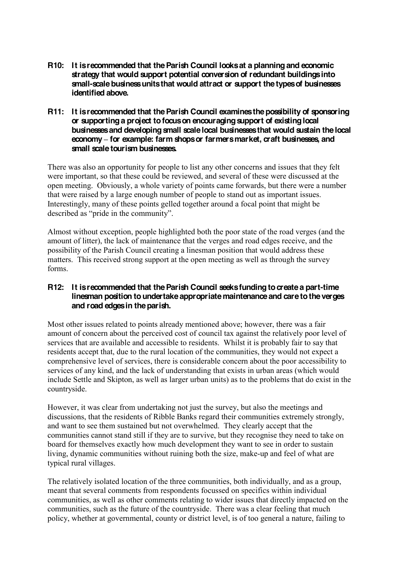- **R10: It is recommended that the Parish Council looks at a planning and economic strategy that would support potential conversion of redundant buildings into small-scale business units that would attract or support the types of businesses identified above.**
- **R11: It is recommended that the Parish Council examines the possibility of sponsoring or supporting a project to focus on encouraging support of existing local businesses and developing small scale local businesses that would sustain the local economy ± for example: farm shops or farmers market, craft businesses, and small scale tourism businesses.**

There was also an opportunity for people to list any other concerns and issues that they felt were important, so that these could be reviewed, and several of these were discussed at the open meeting. Obviously, a whole variety of points came forwards, but there were a number that were raised by a large enough number of people to stand out as important issues. Interestingly, many of these points gelled together around a focal point that might be described as "pride in the community".

Almost without exception, people highlighted both the poor state of the road verges (and the amount of litter), the lack of maintenance that the verges and road edges receive, and the possibility of the Parish Council creating a linesman position that would address these matters. This received strong support at the open meeting as well as through the survey forms.

# **R12: It is recommended that the Parish Council seeks funding to create a part-time linesman position to undertake appropriate maintenance and care to the verges and road edges in the parish.**

Most other issues related to points already mentioned above; however, there was a fair amount of concern about the perceived cost of council tax against the relatively poor level of services that are available and accessible to residents. Whilst it is probably fair to say that residents accept that, due to the rural location of the communities, they would not expect a comprehensive level of services, there is considerable concern about the poor accessibility to services of any kind, and the lack of understanding that exists in urban areas (which would include Settle and Skipton, as well as larger urban units) as to the problems that do exist in the countryside.

However, it was clear from undertaking not just the survey, but also the meetings and discussions, that the residents of Ribble Banks regard their communities extremely strongly, and want to see them sustained but not overwhelmed. They clearly accept that the communities cannot stand still if they are to survive, but they recognise they need to take on board for themselves exactly how much development they want to see in order to sustain living, dynamic communities without ruining both the size, make-up and feel of what are typical rural villages.

The relatively isolated location of the three communities, both individually, and as a group, meant that several comments from respondents focussed on specifics within individual communities, as well as other comments relating to wider issues that directly impacted on the communities, such as the future of the countryside. There was a clear feeling that much policy, whether at governmental, county or district level, is of too general a nature, failing to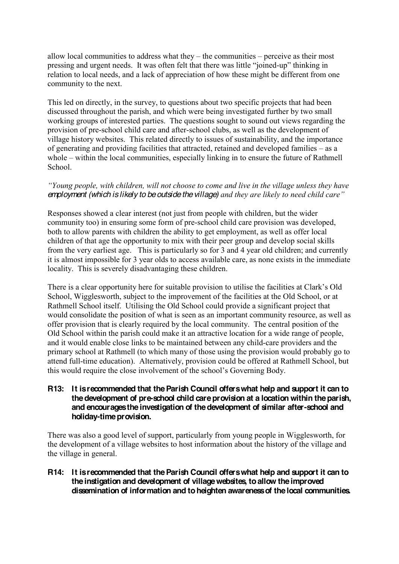allow local communities to address what they  $-$  the communities  $-$  perceive as their most between the urgent needs. It was often felt that there was little "joined-up" thinking in relation to local needs, and a lack of appreciation of how these might be different from one community to the next.

This led on directly, in the survey, to questions about two specific projects that had been discussed throughout the parish, and which were being investigated further by two small working groups of interested parties. The questions sought to sound out views regarding the provision of pre-school child care and after-school clubs, as well as the development of village history websites. This related directly to issues of sustainability, and the importance of generating and providing facilities that attracted, retained and developed families  $-\text{ as a}$ whole  $-\tilde{\ }$  within the local communities, especially linking in to ensure the future of Rathmell School<sup>.</sup>

#### *i* Young people, with children, will not choose to come and live in the village unless they have *employment (which is likely to be outside the village)* and they are likely to need child care"

Responses showed a clear interest (not just from people with children, but the wider community too) in ensuring some form of pre-school child care provision was developed, both to allow parents with children the ability to get employment, as well as offer local children of that age the opportunity to mix with their peer group and develop social skills from the very earliest age. This is particularly so for 3 and 4 year old children; and currently it is almost impossible for 3 year olds to access available care, as none exists in the immediate locality. This is severely disadvantaging these children.

There is a clear opportunity here for suitable provision to utilise the facilities at Clark's Old School, Wigglesworth, subject to the improvement of the facilities at the Old School, or at Rathmell School itself. Utilising the Old School could provide a significant project that would consolidate the position of what is seen as an important community resource, as well as offer provision that is clearly required by the local community. The central position of the Old School within the parish could make it an attractive location for a wide range of people, and it would enable close links to be maintained between any child-care providers and the primary school at Rathmell (to which many of those using the provision would probably go to attend full-time education). Alternatively, provision could be offered at Rathmell School, but this would require the close involvement of the school's Governing Body.

#### **R13: It is recommended that the Parish Council offers what help and support it can to the development of pre-school child care provision at a location within the parish, and encourages the investigation of the development of similar after-school and holiday-time provision.**

There was also a good level of support, particularly from young people in Wigglesworth, for the development of a village websites to host information about the history of the village and the village in general.

#### **R14: It is recommended that the Parish Council offers what help and support it can to the instigation and development of village websites, to allow the improved dissemination of information and to heighten awareness of the local communities.**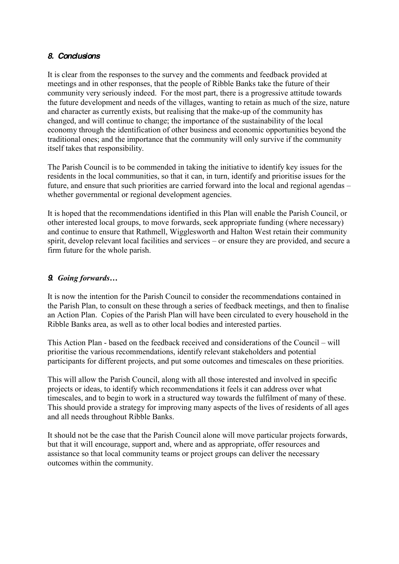#### *8. Conclusions*

It is clear from the responses to the survey and the comments and feedback provided at meetings and in other responses, that the people of Ribble Banks take the future of their community very seriously indeed. For the most part, there is a progressive attitude towards the future development and needs of the villages, wanting to retain as much of the size, nature and character as currently exists, but realising that the make-up of the community has changed, and will continue to change; the importance of the sustainability of the local economy through the identification of other business and economic opportunities beyond the traditional ones; and the importance that the community will only survive if the community itself takes that responsibility.

The Parish Council is to be commended in taking the initiative to identify key issues for the residents in the local communities, so that it can, in turn, identify and prioritise issues for the future, and ensure that such priorities are carried forward into the local and regional agendas – whether governmental or regional development agencies.

It is hoped that the recommendations identified in this Plan will enable the Parish Council, or other interested local groups, to move forwards, seek appropriate funding (where necessary) and continue to ensure that Rathmell, Wigglesworth and Halton West retain their community spirit, develop relevant local facilities and services – or ensure they are provided, and secure a firm future for the whole parish.

# **9***9 Going forwards...*

It is now the intention for the Parish Council to consider the recommendations contained in the Parish Plan, to consult on these through a series of feedback meetings, and then to finalise an Action Plan. Copies of the Parish Plan will have been circulated to every household in the Ribble Banks area, as well as to other local bodies and interested parties.

This Action Plan - based on the feedback received and considerations of the Council – will prioritise the various recommendations, identify relevant stakeholders and potential participants for different projects, and put some outcomes and timescales on these priorities.

This will allow the Parish Council, along with all those interested and involved in specific projects or ideas, to identify which recommendations it feels it can address over what timescales, and to begin to work in a structured way towards the fulfilment of many of these. This should provide a strategy for improving many aspects of the lives of residents of all ages and all needs throughout Ribble Banks.

It should not be the case that the Parish Council alone will move particular projects forwards, but that it will encourage, support and, where and as appropriate, offer resources and assistance so that local community teams or project groups can deliver the necessary outcomes within the community.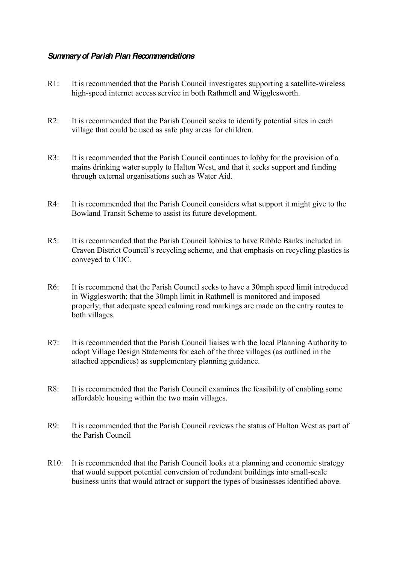#### *Summary of Parish Plan Recommendations*

- R1: It is recommended that the Parish Council investigates supporting a satellite-wireless high-speed internet access service in both Rathmell and Wigglesworth.
- R2: It is recommended that the Parish Council seeks to identify potential sites in each village that could be used as safe play areas for children.
- R3: It is recommended that the Parish Council continues to lobby for the provision of a mains drinking water supply to Halton West, and that it seeks support and funding through external organisations such as Water Aid.
- R4: It is recommended that the Parish Council considers what support it might give to the Bowland Transit Scheme to assist its future development.
- R5: It is recommended that the Parish Council lobbies to have Ribble Banks included in Craven District Council's recycling scheme, and that emphasis on recycling plastics is conveyed to CDC.
- R6: It is recommend that the Parish Council seeks to have a 30mph speed limit introduced in Wigglesworth; that the 30mph limit in Rathmell is monitored and imposed properly; that adequate speed calming road markings are made on the entry routes to both villages.
- R7: It is recommended that the Parish Council liaises with the local Planning Authority to adopt Village Design Statements for each of the three villages (as outlined in the attached appendices) as supplementary planning guidance.
- R8: It is recommended that the Parish Council examines the feasibility of enabling some affordable housing within the two main villages.
- R9: It is recommended that the Parish Council reviews the status of Halton West as part of the Parish Council
- R10: It is recommended that the Parish Council looks at a planning and economic strategy that would support potential conversion of redundant buildings into small-scale business units that would attract or support the types of businesses identified above.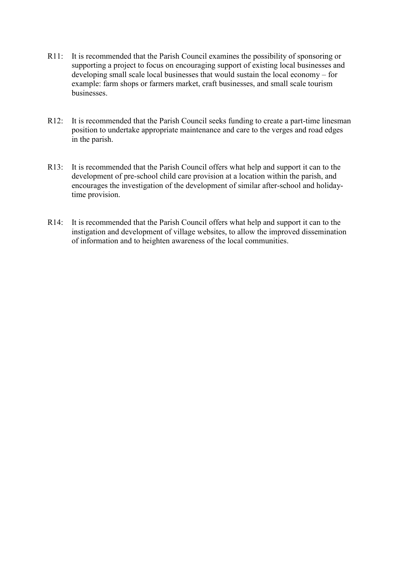- R11: It is recommended that the Parish Council examines the possibility of sponsoring or supporting a project to focus on encouraging support of existing local businesses and developing small scale local businesses that would sustain the local economy  $-$  for example: farm shops or farmers market, craft businesses, and small scale tourism businesses.
- R12: It is recommended that the Parish Council seeks funding to create a part-time linesman position to undertake appropriate maintenance and care to the verges and road edges in the parish.
- R13: It is recommended that the Parish Council offers what help and support it can to the development of pre-school child care provision at a location within the parish, and encourages the investigation of the development of similar after-school and holidaytime provision.
- R14: It is recommended that the Parish Council offers what help and support it can to the instigation and development of village websites, to allow the improved dissemination of information and to heighten awareness of the local communities.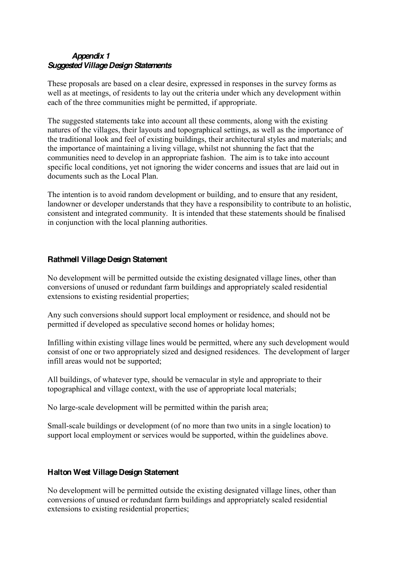# *Appendix 1 Suggested Village Design Statements*

These proposals are based on a clear desire, expressed in responses in the survey forms as well as at meetings, of residents to lay out the criteria under which any development within each of the three communities might be permitted, if appropriate.

The suggested statements take into account all these comments, along with the existing natures of the villages, their layouts and topographical settings, as well as the importance of the traditional look and feel of existing buildings, their architectural styles and materials; and the importance of maintaining a living village, whilst not shunning the fact that the communities need to develop in an appropriate fashion. The aim is to take into account specific local conditions, yet not ignoring the wider concerns and issues that are laid out in documents such as the Local Plan.

The intention is to avoid random development or building, and to ensure that any resident, landowner or developer understands that they have a responsibility to contribute to an holistic, consistent and integrated community. It is intended that these statements should be finalised in conjunction with the local planning authorities.

#### **Rathmell Village Design Statement**

No development will be permitted outside the existing designated village lines, other than conversions of unused or redundant farm buildings and appropriately scaled residential extensions to existing residential properties;

Any such conversions should support local employment or residence, and should not be permitted if developed as speculative second homes or holiday homes;

Infilling within existing village lines would be permitted, where any such development would consist of one or two appropriately sized and designed residences. The development of larger infill areas would not be supported;

All buildings, of whatever type, should be vernacular in style and appropriate to their topographical and village context, with the use of appropriate local materials;

No large-scale development will be permitted within the parish area;

Small-scale buildings or development (of no more than two units in a single location) to support local employment or services would be supported, within the guidelines above.

# **Halton West Village Design Statement**

No development will be permitted outside the existing designated village lines, other than conversions of unused or redundant farm buildings and appropriately scaled residential extensions to existing residential properties;